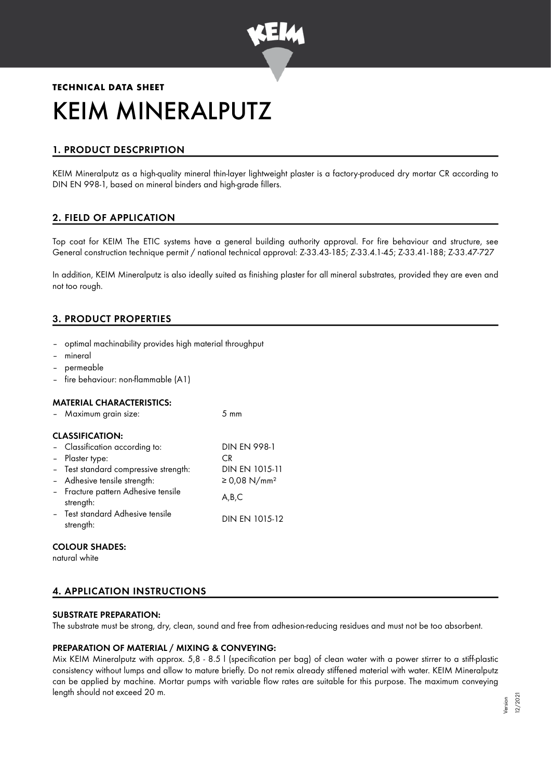

# **TECHNICAL DATA SHEET** KEIM MINERALPUTZ

# 1. PRODUCT DESCPRIPTION

KEIM Mineralputz as a high-quality mineral thin-layer lightweight plaster is a factory-produced dry mortar CR according to DIN EN 998-1, based on mineral binders and high-grade fillers.

# 2. FIELD OF APPLICATION

Top coat for KEIM The ETIC systems have a general building authority approval. For fire behaviour and structure, see General construction technique permit / national technical approval: Z-33.43-185; Z-33.4.1-45; Z-33.41-188; Z-33.47-727

In addition, KEIM Mineralputz is also ideally suited as finishing plaster for all mineral substrates, provided they are even and not too rough.

# 3. PRODUCT PROPERTIES

- optimal machinability provides high material throughput
- mineral
- permeable
- fire behaviour: non-flammable (A1)

#### MATERIAL CHARACTERISTICS:

| - Maximum grain size:                                                           | $5 \text{ mm}$           |  |  |  |  |
|---------------------------------------------------------------------------------|--------------------------|--|--|--|--|
| <b>CLASSIFICATION:</b><br>- Classification according to:<br><b>DIN EN 998-1</b> |                          |  |  |  |  |
| - Plaster type:<br>- Test standard compressive strength:                        | C.R<br>DIN EN 1015-11    |  |  |  |  |
| - Adhesive tensile strength:                                                    | ≥ 0,08 N/mm <sup>2</sup> |  |  |  |  |
| - Fracture pattern Adhesive tensile<br>strength:                                | A,B,C                    |  |  |  |  |
| - Test standard Adhesive tensile<br>strength:                                   | DIN EN 1015-12           |  |  |  |  |

#### COLOUR SHADES:

natural white

# 4. APPLICATION INSTRUCTIONS

#### SUBSTRATE PREPARATION:

The substrate must be strong, dry, clean, sound and free from adhesion-reducing residues and must not be too absorbent.

## PREPARATION OF MATERIAL / MIXING & CONVEYING:

Mix KEIM Mineralputz with approx. 5,8 - 8.5 l (specification per bag) of clean water with a power stirrer to a stiff-plastic consistency without lumps and allow to mature briefly. Do not remix already stiffened material with water. KEIM Mineralputz can be applied by machine. Mortar pumps with variable flow rates are suitable for this purpose. The maximum conveying length should not exceed 20 m.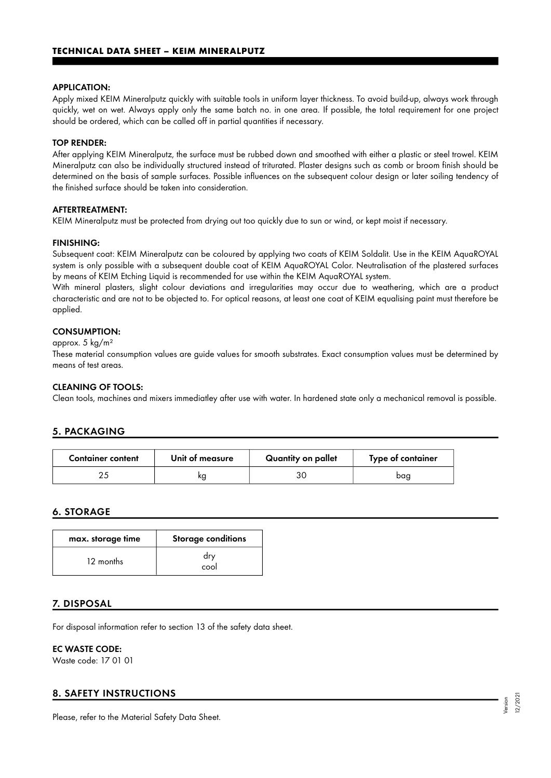#### APPLICATION:

Apply mixed KEIM Mineralputz quickly with suitable tools in uniform layer thickness. To avoid build-up, always work through quickly, wet on wet. Always apply only the same batch no. in one area. If possible, the total requirement for one project should be ordered, which can be called off in partial quantities if necessary.

#### TOP RENDER:

After applying KEIM Mineralputz, the surface must be rubbed down and smoothed with either a plastic or steel trowel. KEIM Mineralputz can also be individually structured instead of triturated. Plaster designs such as comb or broom finish should be determined on the basis of sample surfaces. Possible influences on the subsequent colour design or later soiling tendency of the finished surface should be taken into consideration.

#### AFTERTREATMENT:

KEIM Mineralputz must be protected from drying out too quickly due to sun or wind, or kept moist if necessary.

#### FINISHING:

Subsequent coat: KEIM Mineralputz can be coloured by applying two coats of KEIM Soldalit. Use in the KEIM AquaROYAL system is only possible with a subsequent double coat of KEIM AquaROYAL Color. Neutralisation of the plastered surfaces by means of KEIM Etching Liquid is recommended for use within the KEIM AquaROYAL system.

With mineral plasters, slight colour deviations and irregularities may occur due to weathering, which are a product characteristic and are not to be objected to. For optical reasons, at least one coat of KEIM equalising paint must therefore be applied.

#### CONSUMPTION:

#### approx. 5 kg/m²

These material consumption values are guide values for smooth substrates. Exact consumption values must be determined by means of test areas.

#### CLEANING OF TOOLS:

Clean tools, machines and mixers immediatley after use with water. In hardened state only a mechanical removal is possible.

## 5. PACKAGING

| <b>Container content</b> | Unit of measure | Quantity on pallet | Type of container |
|--------------------------|-----------------|--------------------|-------------------|
|                          |                 |                    | baa               |

## 6. STORAGE

| max. storage time | Storage conditions |
|-------------------|--------------------|
| 12 months         | dry<br>cool        |

## 7. DISPOSAL

For disposal information refer to section 13 of the safety data sheet.

#### EC WASTE CODE:

Waste code: 17 01 01

## 8. SAFETY INSTRUCTIONS

Please, refer to the Material Safety Data Sheet.